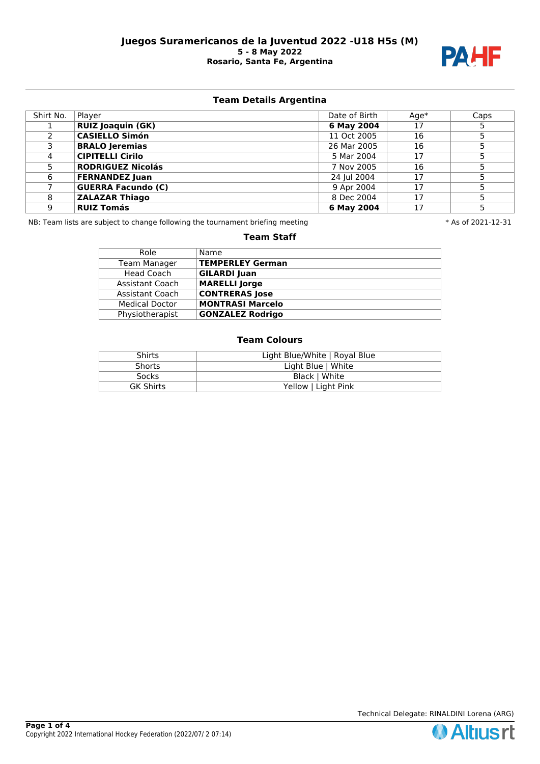

# **Team Details Argentina**

| Shirt No. | Player                    | Date of Birth | $Aqe*$ | Caps |
|-----------|---------------------------|---------------|--------|------|
|           | <b>RUIZ Joaquin (GK)</b>  | 6 May 2004    | 17     |      |
|           | <b>CASIELLO Simón</b>     | 11 Oct 2005   | 16     |      |
|           | <b>BRALO Jeremias</b>     | 26 Mar 2005   | 16     |      |
| 4         | <b>CIPITELLI Cirilo</b>   | 5 Mar 2004    | 17     |      |
|           | <b>RODRIGUEZ Nicolás</b>  | 7 Nov 2005    | 16     |      |
| 6         | <b>FERNANDEZ Juan</b>     | 24 Jul 2004   | 17     |      |
|           | <b>GUERRA Facundo (C)</b> | 9 Apr 2004    | 17     |      |
| 8         | <b>ZALAZAR Thiago</b>     | 8 Dec 2004    | 17     |      |
| 9         | <b>RUIZ Tomás</b>         | 6 May 2004    | 17     |      |

NB: Team lists are subject to change following the tournament briefing meeting  $* A s$  of 2021-12-31

## **Team Staff**

| Role                   | Name                    |
|------------------------|-------------------------|
| <b>Team Manager</b>    | TEMPERLEY German        |
| Head Coach             | <b>GILARDI Juan</b>     |
| <b>Assistant Coach</b> | <b>MARELLI Jorge</b>    |
| Assistant Coach        | <b>CONTRERAS Jose</b>   |
| <b>Medical Doctor</b>  | <b>MONTRASI Marcelo</b> |
| Physiotherapist        | <b>GONZALEZ Rodrigo</b> |

| <b>Shirts</b>    | Light Blue/White   Royal Blue |
|------------------|-------------------------------|
| <b>Shorts</b>    | Light Blue   White            |
| <b>Socks</b>     | Black   White                 |
| <b>GK Shirts</b> | Yellow   Light Pink           |

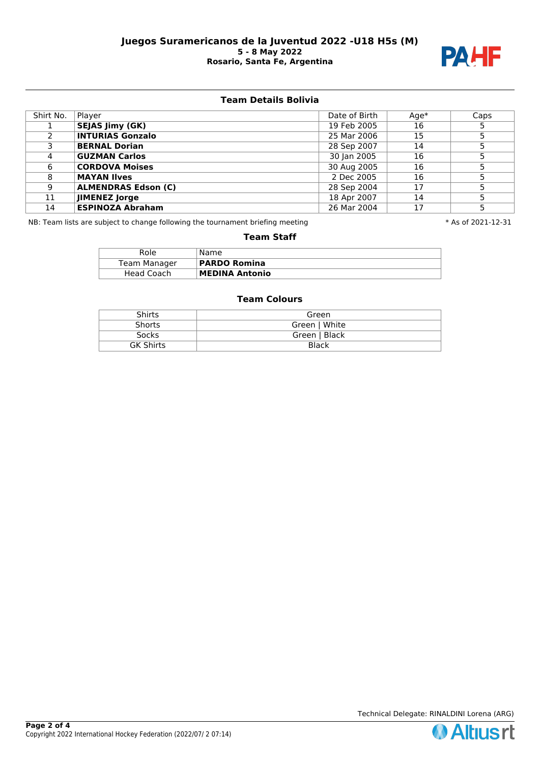

# **Team Details Bolivia**

| Shirt No. | Player                     | Date of Birth | $Aqe*$ | Caps |
|-----------|----------------------------|---------------|--------|------|
|           | <b>SEJAS Jimy (GK)</b>     | 19 Feb 2005   | 16     |      |
|           | <b>INTURIAS Gonzalo</b>    | 25 Mar 2006   | 15     |      |
|           | <b>BERNAL Dorian</b>       | 28 Sep 2007   | 14     |      |
| 4         | <b>GUZMAN Carlos</b>       | 30 Jan 2005   | 16     |      |
| 6         | <b>CORDOVA Moises</b>      | 30 Aug 2005   | 16     |      |
| 8         | <b>MAYAN Ilves</b>         | 2 Dec 2005    | 16     |      |
| 9         | <b>ALMENDRAS Edson (C)</b> | 28 Sep 2004   | 17     |      |
| 11        | <b>IIMENEZ Jorge</b>       | 18 Apr 2007   | 14     |      |
| 14        | <b>ESPINOZA Abraham</b>    | 26 Mar 2004   | 17     |      |

NB: Team lists are subject to change following the tournament briefing meeting  $* A s$  of 2021-12-31

## **Team Staff**

| Role         | Name.                 |
|--------------|-----------------------|
| Team Manager | <b>PARDO Romina</b>   |
| Head Coach   | <b>MEDINA Antonio</b> |

| Shirts           | Green         |
|------------------|---------------|
| <b>Shorts</b>    | Green   White |
| <b>Socks</b>     | Green   Black |
| <b>GK Shirts</b> | <b>Black</b>  |

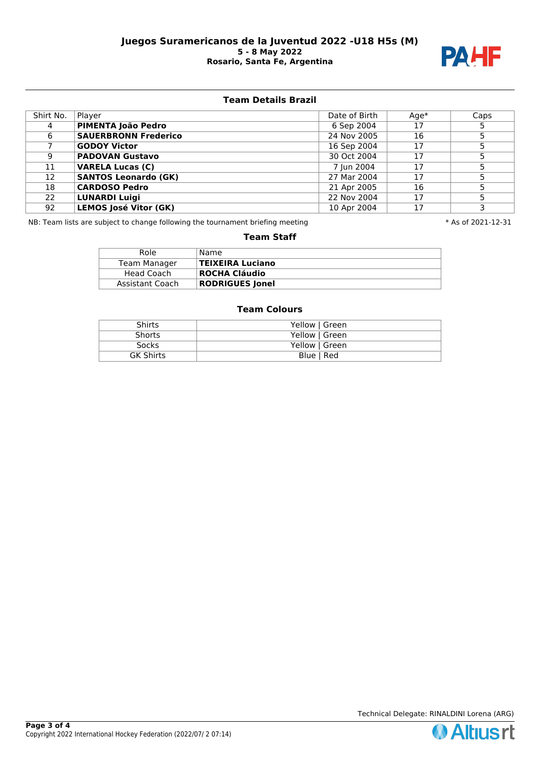

## **Team Details Brazil**

| Shirt No. | Player                       | Date of Birth | $Aqe*$ | Caps |
|-----------|------------------------------|---------------|--------|------|
| 4         | PIMENTA João Pedro           | 6 Sep 2004    | 17     |      |
| 6         | <b>SAUERBRONN Frederico</b>  | 24 Nov 2005   | 16     |      |
|           | <b>GODOY Victor</b>          | 16 Sep 2004   | 17     |      |
| 9         | <b>PADOVAN Gustavo</b>       | 30 Oct 2004   | 17     |      |
| 11        | <b>VARELA Lucas (C)</b>      | 7 Iun 2004    | 17     |      |
| 12        | <b>SANTOS Leonardo (GK)</b>  | 27 Mar 2004   | 17     |      |
| 18        | <b>CARDOSO Pedro</b>         | 21 Apr 2005   | 16     |      |
| 22        | <b>LUNARDI Luigi</b>         | 22 Nov 2004   | 17     |      |
| 92        | <b>LEMOS José Vitor (GK)</b> | 10 Apr 2004   | 17     |      |

NB: Team lists are subject to change following the tournament briefing meeting  $* A s$  of 2021-12-31

## **Team Staff**

| Role            | Name                    |
|-----------------|-------------------------|
| Team Manager    | <b>TEIXEIRA Luciano</b> |
| Head Coach      | ROCHA Cláudio           |
| Assistant Coach | <b>RODRIGUES Jonel</b>  |

| <b>Shirts</b>    | Yellow   Green |
|------------------|----------------|
| <b>Shorts</b>    | Yellow   Green |
| <b>Socks</b>     | Yellow   Green |
| <b>GK Shirts</b> | Blue   Red     |